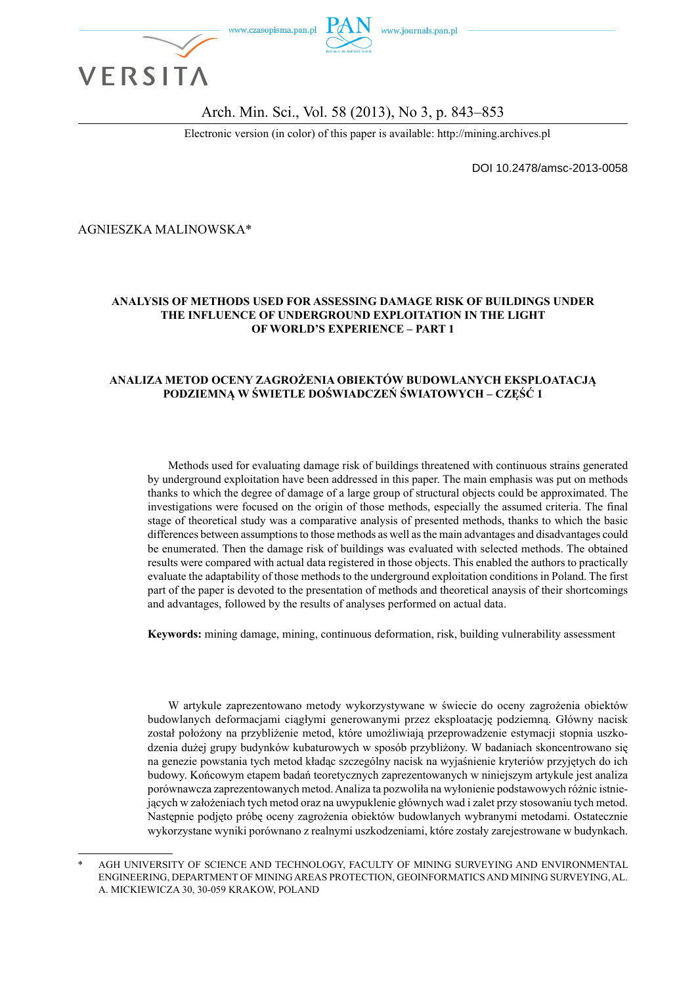

### Arch. Min. Sci., Vol. 58 (2013), No 3, p. 843–853

Electronic version (in color) of this paper is available: http://mining.archives.pl

DOI 10.2478/amsc-2013-0058

AGNIESZKA MALINOWSKA\*

#### **ANALYSIS OF METHODS USED FOR ASSESSING DAMAGE RISK OF BUILDINGS UNDER THE INFLUENCE OF UNDERGROUND EXPLOITATION IN THE LIGHT OF WORLD'S EXPERIENCE – PART 1**

#### **ANALIZA METOD OCENY ZAGROŻENIA OBIEKTÓW BUDOWLANYCH EKSPLOATACJĄ PODZIEMNĄ W ŚWIETLE DOŚWIADCZEŃ ŚWIATOWYCH – CZĘŚĆ 1**

Methods used for evaluating damage risk of buildings threatened with continuous strains generated by underground exploitation have been addressed in this paper. The main emphasis was put on methods thanks to which the degree of damage of a large group of structural objects could be approximated. The investigations were focused on the origin of those methods, especially the assumed criteria. The final stage of theoretical study was a comparative analysis of presented methods, thanks to which the basic differences between assumptions to those methods as well as the main advantages and disadvantages could be enumerated. Then the damage risk of buildings was evaluated with selected methods. The obtained results were compared with actual data registered in those objects. This enabled the authors to practically evaluate the adaptability of those methods to the underground exploitation conditions in Poland. The first part of the paper is devoted to the presentation of methods and theoretical anaysis of their shortcomings and advantages, followed by the results of analyses performed on actual data.

**Keywords:** mining damage, mining, continuous deformation, risk, building vulnerability assessment

W artykule zaprezentowano metody wykorzystywane w świecie do oceny zagrożenia obiektów budowlanych deformacjami ciągłymi generowanymi przez eksploatację podziemną. Główny nacisk został położony na przybliżenie metod, które umożliwiają przeprowadzenie estymacji stopnia uszkodzenia dużej grupy budynków kubaturowych w sposób przybliżony. W badaniach skoncentrowano się na genezie powstania tych metod kładąc szczególny nacisk na wyjaśnienie kryteriów przyjętych do ich budowy. Końcowym etapem badań teoretycznych zaprezentowanych w niniejszym artykule jest analiza porównawcza zaprezentowanych metod. Analiza ta pozwoliła na wyłonienie podstawowych różnic istniejących w założeniach tych metod oraz na uwypuklenie głównych wad i zalet przy stosowaniu tych metod. Następnie podjęto próbę oceny zagrożenia obiektów budowlanych wybranymi metodami. Ostatecznie wykorzystane wyniki porównano z realnymi uszkodzeniami, które zostały zarejestrowane w budynkach.

AGH UNIVERSITY OF SCIENCE AND TECHNOLOGY, FACULTY OF MINING SURVEYING AND ENVIRONMENTAL ENGINEERING, DEPARTMENT OF MINING AREAS PROTECTION, GEOINFORMATICS AND MINING SURVEYING, AL. A. MICKIEWICZA 30, 30-059 KRAKOW, POLAND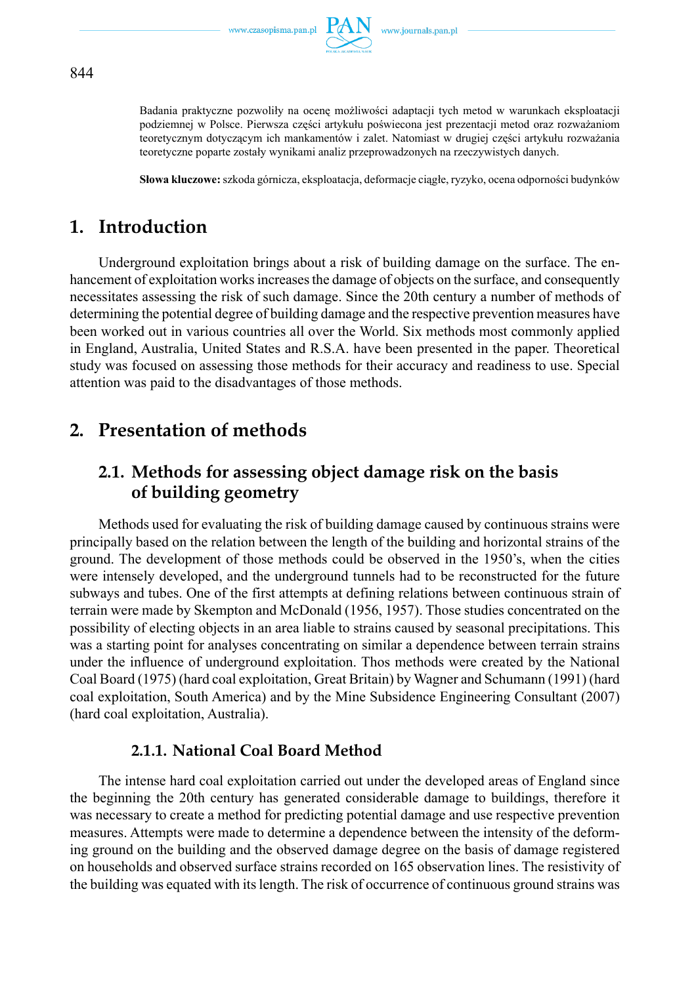

Badania praktyczne pozwoliły na ocenę możliwości adaptacji tych metod w warunkach eksploatacji podziemnej w Polsce. Pierwsza części artykułu poświecona jest prezentacji metod oraz rozważaniom teoretycznym dotyczącym ich mankamentów i zalet. Natomiast w drugiej części artykułu rozważania teoretyczne poparte zostały wynikami analiz przeprowadzonych na rzeczywistych danych.

**Słowa kluczowe:** szkoda górnicza, eksploatacja, deformacje ciągłe, ryzyko, ocena odporności budynków

# **1. Introduction**

Underground exploitation brings about a risk of building damage on the surface. The enhancement of exploitation works increases the damage of objects on the surface, and consequently necessitates assessing the risk of such damage. Since the 20th century a number of methods of determining the potential degree of building damage and the respective prevention measures have been worked out in various countries all over the World. Six methods most commonly applied in England, Australia, United States and R.S.A. have been presented in the paper. Theoretical study was focused on assessing those methods for their accuracy and readiness to use. Special attention was paid to the disadvantages of those methods.

# **2. Presentation of methods**

# **2.1. Methods for assessing object damage risk on the basis of building geometry**

Methods used for evaluating the risk of building damage caused by continuous strains were principally based on the relation between the length of the building and horizontal strains of the ground. The development of those methods could be observed in the 1950's, when the cities were intensely developed, and the underground tunnels had to be reconstructed for the future subways and tubes. One of the first attempts at defining relations between continuous strain of terrain were made by Skempton and McDonald (1956, 1957). Those studies concentrated on the possibility of electing objects in an area liable to strains caused by seasonal precipitations. This was a starting point for analyses concentrating on similar a dependence between terrain strains under the influence of underground exploitation. Thos methods were created by the National Coal Board (1975) (hard coal exploitation, Great Britain) by Wagner and Schumann (1991) (hard coal exploitation, South America) and by the Mine Subsidence Engineering Consultant (2007) (hard coal exploitation, Australia).

### **2.1.1. National Coal Board Method**

The intense hard coal exploitation carried out under the developed areas of England since the beginning the 20th century has generated considerable damage to buildings, therefore it was necessary to create a method for predicting potential damage and use respective prevention measures. Attempts were made to determine a dependence between the intensity of the deforming ground on the building and the observed damage degree on the basis of damage registered on households and observed surface strains recorded on 165 observation lines. The resistivity of the building was equated with its length. The risk of occurrence of continuous ground strains was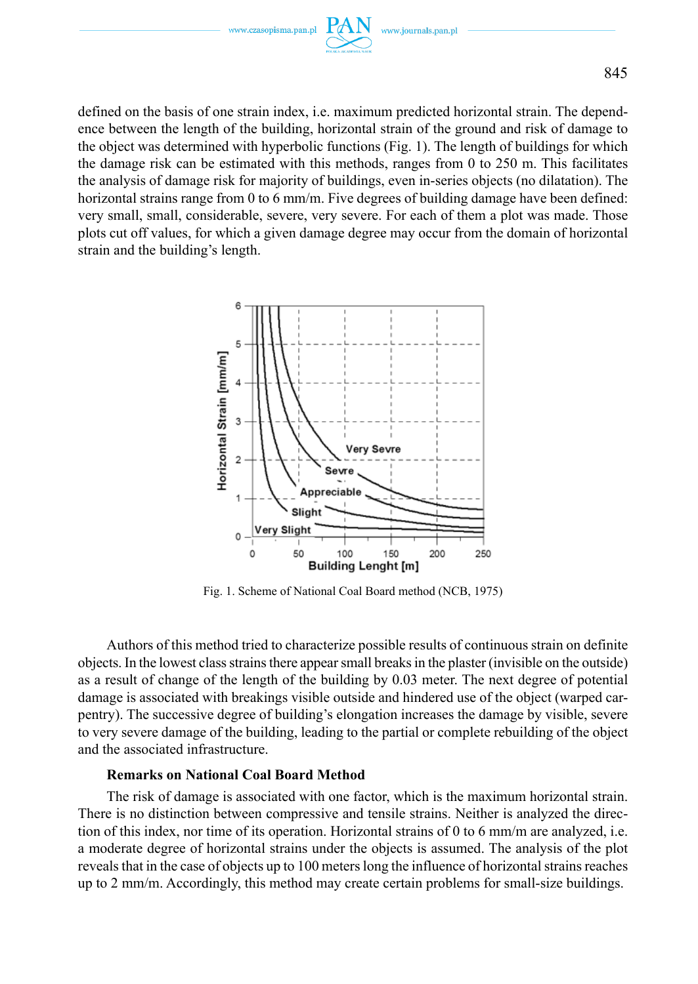

defined on the basis of one strain index, i.e. maximum predicted horizontal strain. The dependence between the length of the building, horizontal strain of the ground and risk of damage to the object was determined with hyperbolic functions (Fig. 1). The length of buildings for which the damage risk can be estimated with this methods, ranges from 0 to 250 m. This facilitates the analysis of damage risk for majority of buildings, even in-series objects (no dilatation). The horizontal strains range from 0 to 6 mm/m. Five degrees of building damage have been defined: very small, small, considerable, severe, very severe. For each of them a plot was made. Those plots cut off values, for which a given damage degree may occur from the domain of horizontal strain and the building's length.



Fig. 1. Scheme of National Coal Board method (NCB, 1975)

Authors of this method tried to characterize possible results of continuous strain on definite objects. In the lowest class strains there appear small breaks in the plaster (invisible on the outside) as a result of change of the length of the building by 0.03 meter. The next degree of potential damage is associated with breakings visible outside and hindered use of the object (warped carpentry). The successive degree of building's elongation increases the damage by visible, severe to very severe damage of the building, leading to the partial or complete rebuilding of the object and the associated infrastructure.

### **Remarks on National Coal Board Method**

The risk of damage is associated with one factor, which is the maximum horizontal strain. There is no distinction between compressive and tensile strains. Neither is analyzed the direction of this index, nor time of its operation. Horizontal strains of 0 to 6 mm/m are analyzed, i.e. a moderate degree of horizontal strains under the objects is assumed. The analysis of the plot reveals that in the case of objects up to 100 meters long the influence of horizontal strains reaches up to 2 mm/m. Accordingly, this method may create certain problems for small-size buildings.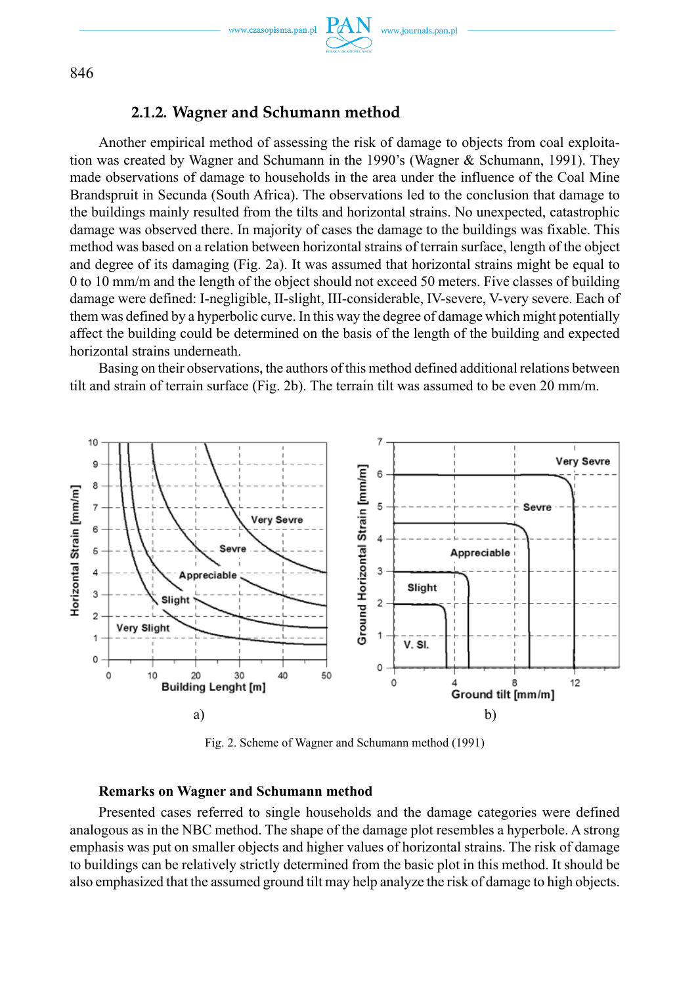www.czasopisma.pan.pl

www.journals.pan.p



846

### **2.1.2. Wagner and Schumann method**

Another empirical method of assessing the risk of damage to objects from coal exploitation was created by Wagner and Schumann in the 1990's (Wagner & Schumann, 1991). They made observations of damage to households in the area under the influence of the Coal Mine Brandspruit in Secunda (South Africa). The observations led to the conclusion that damage to the buildings mainly resulted from the tilts and horizontal strains. No unexpected, catastrophic damage was observed there. In majority of cases the damage to the buildings was fixable. This method was based on a relation between horizontal strains of terrain surface, length of the object and degree of its damaging (Fig. 2a). It was assumed that horizontal strains might be equal to 0 to 10 mm/m and the length of the object should not exceed 50 meters. Five classes of building damage were defined: I-negligible, II-slight, III-considerable, IV-severe, V-very severe. Each of them was defined by a hyperbolic curve. In this way the degree of damage which might potentially affect the building could be determined on the basis of the length of the building and expected horizontal strains underneath.

Basing on their observations, the authors of this method defined additional relations between tilt and strain of terrain surface (Fig. 2b). The terrain tilt was assumed to be even 20 mm/m.



Fig. 2. Scheme of Wagner and Schumann method (1991)

### **Remarks on Wagner and Schumann method**

Presented cases referred to single households and the damage categories were defined analogous as in the NBC method. The shape of the damage plot resembles a hyperbole. A strong emphasis was put on smaller objects and higher values of horizontal strains. The risk of damage to buildings can be relatively strictly determined from the basic plot in this method. It should be also emphasized that the assumed ground tilt may help analyze the risk of damage to high objects.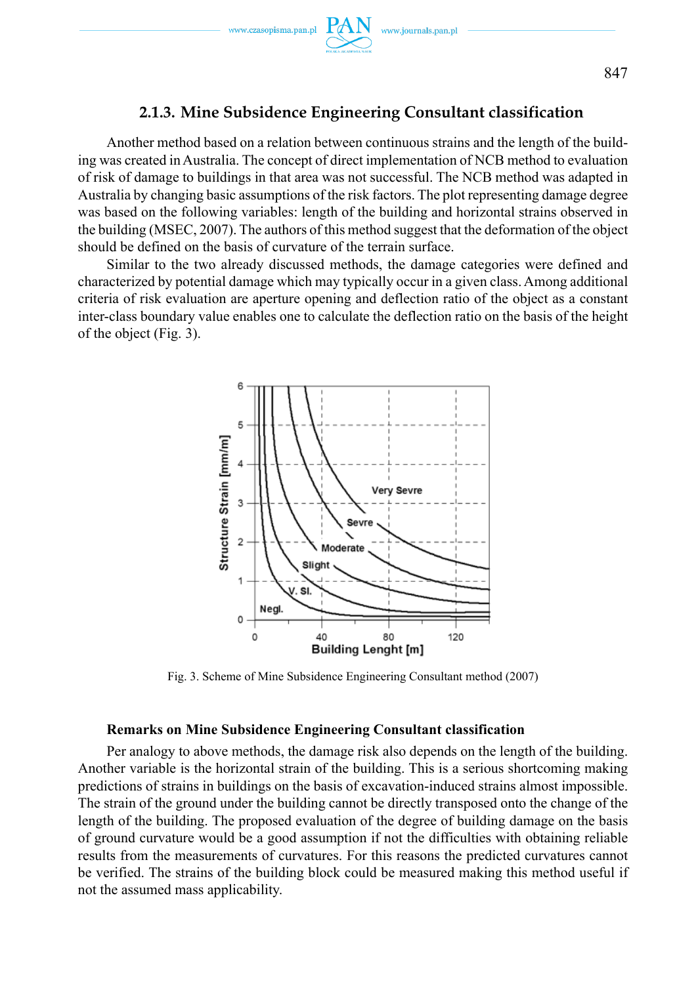Another method based on a relation between continuous strains and the length of the building was created in Australia. The concept of direct implementation of NCB method to evaluation of risk of damage to buildings in that area was not successful. The NCB method was adapted in Australia by changing basic assumptions of the risk factors. The plot representing damage degree was based on the following variables: length of the building and horizontal strains observed in the building (MSEC, 2007). The authors of this method suggest that the deformation of the object should be defined on the basis of curvature of the terrain surface.

Similar to the two already discussed methods, the damage categories were defined and characterized by potential damage which may typically occur in a given class. Among additional criteria of risk evaluation are aperture opening and deflection ratio of the object as a constant inter-class boundary value enables one to calculate the deflection ratio on the basis of the height of the object (Fig. 3).



Fig. 3. Scheme of Mine Subsidence Engineering Consultant method (2007)

### **Remarks on Mine Subsidence Engineering Consultant classification**

Per analogy to above methods, the damage risk also depends on the length of the building. Another variable is the horizontal strain of the building. This is a serious shortcoming making predictions of strains in buildings on the basis of excavation-induced strains almost impossible. The strain of the ground under the building cannot be directly transposed onto the change of the length of the building. The proposed evaluation of the degree of building damage on the basis of ground curvature would be a good assumption if not the difficulties with obtaining reliable results from the measurements of curvatures. For this reasons the predicted curvatures cannot be verified. The strains of the building block could be measured making this method useful if not the assumed mass applicability.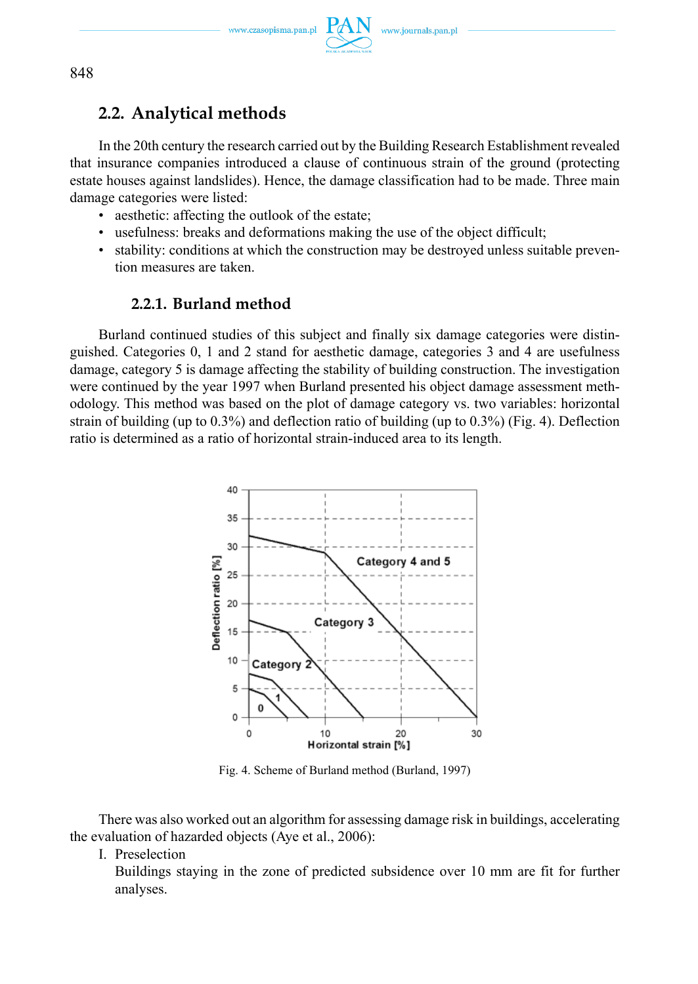

# **2.2. Analytical methods**

In the 20th century the research carried out by the Building Research Establishment revealed that insurance companies introduced a clause of continuous strain of the ground (protecting estate houses against landslides). Hence, the damage classification had to be made. Three main damage categories were listed:

- aesthetic: affecting the outlook of the estate;
- usefulness: breaks and deformations making the use of the object difficult;
- stability: conditions at which the construction may be destroyed unless suitable prevention measures are taken.

## **2.2.1. Burland method**

Burland continued studies of this subject and finally six damage categories were distinguished. Categories 0, 1 and 2 stand for aesthetic damage, categories 3 and 4 are usefulness damage, category 5 is damage affecting the stability of building construction. The investigation were continued by the year 1997 when Burland presented his object damage assessment methodology. This method was based on the plot of damage category vs. two variables: horizontal strain of building (up to 0.3%) and deflection ratio of building (up to 0.3%) (Fig. 4). Deflection ratio is determined as a ratio of horizontal strain-induced area to its length.



Fig. 4. Scheme of Burland method (Burland, 1997)

There was also worked out an algorithm for assessing damage risk in buildings, accelerating the evaluation of hazarded objects (Aye et al., 2006):

I. Preselection

 Buildings staying in the zone of predicted subsidence over 10 mm are fit for further analyses.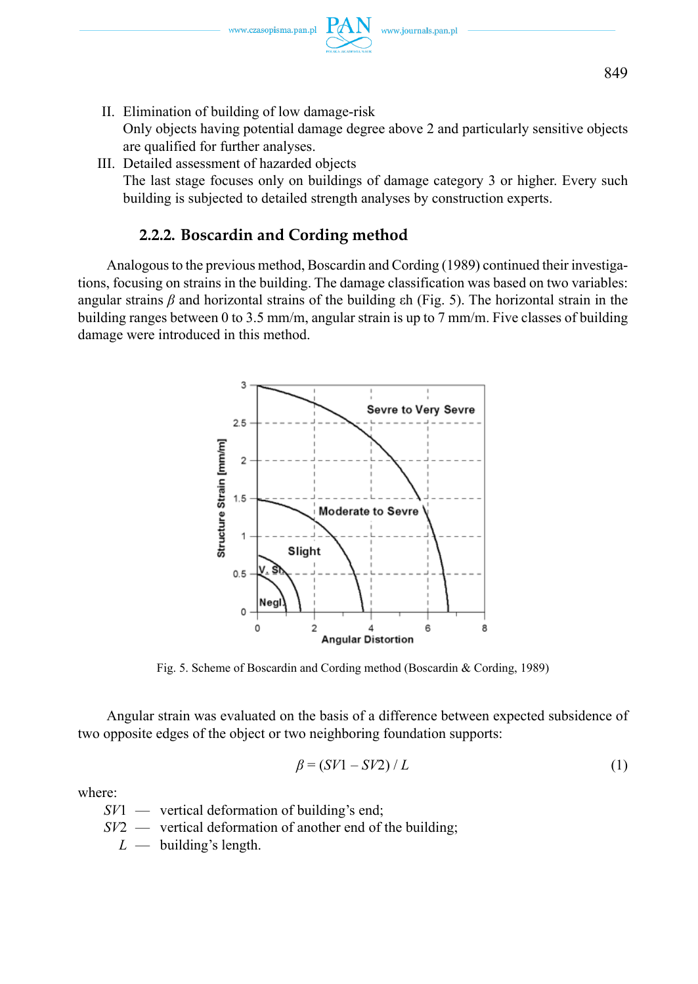www.czasopisma.pan.pl

849

II. Elimination of building of low damage-risk

 Only objects having potential damage degree above 2 and particularly sensitive objects are qualified for further analyses.

III. Detailed assessment of hazarded objects The last stage focuses only on buildings of damage category 3 or higher. Every such building is subjected to detailed strength analyses by construction experts.

### **2.2.2. Boscardin and Cording method**

Analogous to the previous method, Boscardin and Cording (1989) continued their investigations, focusing on strains in the building. The damage classification was based on two variables: angular strains *β* and horizontal strains of the building εh (Fig. 5). The horizontal strain in the building ranges between 0 to 3.5 mm/m, angular strain is up to 7 mm/m. Five classes of building damage were introduced in this method.



Fig. 5. Scheme of Boscardin and Cording method (Boscardin & Cording, 1989)

Angular strain was evaluated on the basis of a difference between expected subsidence of two opposite edges of the object or two neighboring foundation supports:

$$
\beta = (SV1 - SV2) / L \tag{1}
$$

where:

*SV*1 — vertical deformation of building's end;

- *SV2* vertical deformation of another end of the building;
	- $L$  building's length.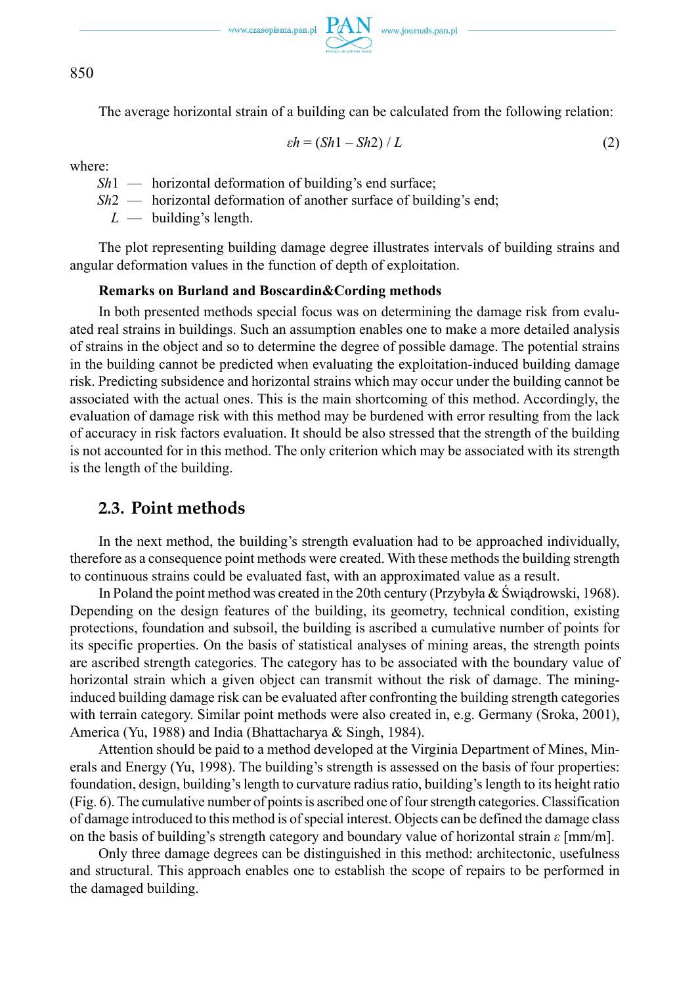850

The average horizontal strain of a building can be calculated from the following relation:

$$
\varepsilon h = (Sh1 - Sh2) / L \tag{2}
$$

where:

- *Sh*<sub>1</sub> horizontal deformation of building's end surface:
- *Sh2* horizontal deformation of another surface of building's end;

 $L$  — building's length.

The plot representing building damage degree illustrates intervals of building strains and angular deformation values in the function of depth of exploitation.

### **Remarks on Burland and Boscardin&Cording methods**

In both presented methods special focus was on determining the damage risk from evaluated real strains in buildings. Such an assumption enables one to make a more detailed analysis of strains in the object and so to determine the degree of possible damage. The potential strains in the building cannot be predicted when evaluating the exploitation-induced building damage risk. Predicting subsidence and horizontal strains which may occur under the building cannot be associated with the actual ones. This is the main shortcoming of this method. Accordingly, the evaluation of damage risk with this method may be burdened with error resulting from the lack of accuracy in risk factors evaluation. It should be also stressed that the strength of the building is not accounted for in this method. The only criterion which may be associated with its strength is the length of the building.

### **2.3. Point methods**

In the next method, the building's strength evaluation had to be approached individually, therefore as a consequence point methods were created. With these methods the building strength to continuous strains could be evaluated fast, with an approximated value as a result.

In Poland the point method was created in the 20th century (Przybyła & Świądrowski, 1968). Depending on the design features of the building, its geometry, technical condition, existing protections, foundation and subsoil, the building is ascribed a cumulative number of points for its specific properties. On the basis of statistical analyses of mining areas, the strength points are ascribed strength categories. The category has to be associated with the boundary value of horizontal strain which a given object can transmit without the risk of damage. The mininginduced building damage risk can be evaluated after confronting the building strength categories with terrain category. Similar point methods were also created in, e.g. Germany (Sroka, 2001), America (Yu, 1988) and India (Bhattacharya & Singh, 1984).

Attention should be paid to a method developed at the Virginia Department of Mines, Minerals and Energy (Yu, 1998). The building's strength is assessed on the basis of four properties: foundation, design, building's length to curvature radius ratio, building's length to its height ratio (Fig. 6). The cumulative number of points is ascribed one of four strength categories. Classification of damage introduced to this method is of special interest. Objects can be defined the damage class on the basis of building's strength category and boundary value of horizontal strain *ε* [mm/m].

Only three damage degrees can be distinguished in this method: archi tectonic, usefulness and structural. This approach enables one to establish the scope of repairs to be performed in the damaged building.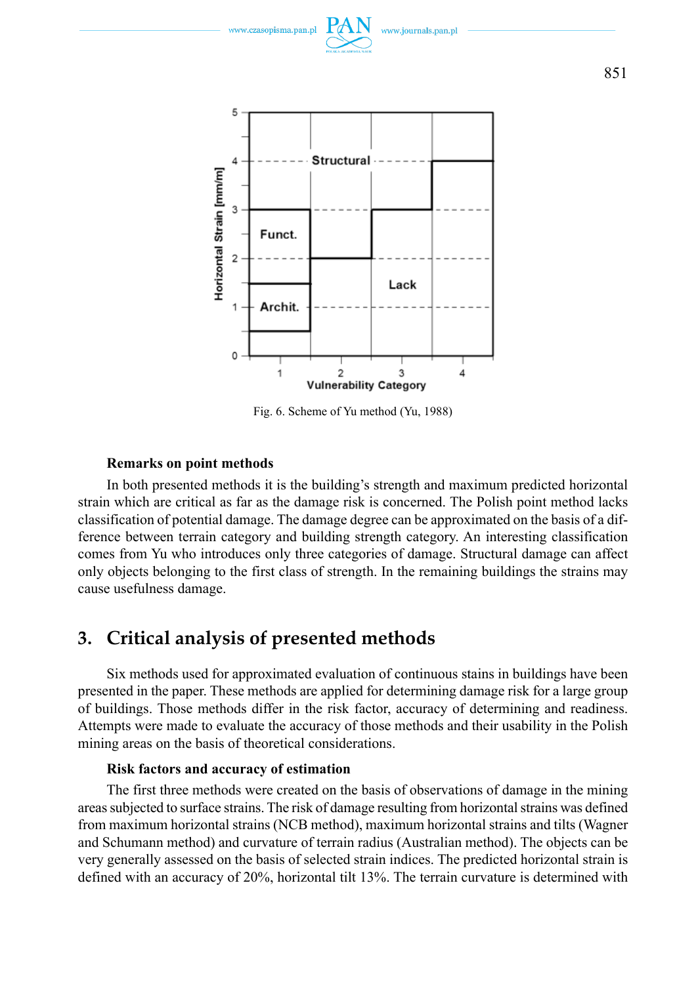

www.journals.pan.p

www.czasopisma.pan.r

Fig. 6. Scheme of Yu method (Yu, 1988)

### **Remarks on point methods**

In both presented methods it is the building's strength and maximum predicted horizontal strain which are critical as far as the damage risk is concerned. The Polish point method lacks classification of potential damage. The damage degree can be approximated on the basis of a difference between terrain category and building strength category. An interesting classification comes from Yu who introduces only three categories of damage. Structural damage can affect only objects belonging to the first class of strength. In the remaining buildings the strains may cause usefulness damage.

# **3. Critical analysis of presented methods**

Six methods used for approximated evaluation of continuous stains in buildings have been presented in the paper. These methods are applied for determining damage risk for a large group of buildings. Those methods differ in the risk factor, accuracy of determining and readiness. Attempts were made to evaluate the accuracy of those methods and their usability in the Polish mining areas on the basis of theoretical considerations.

#### **Risk factors and accuracy of estimation**

The first three methods were created on the basis of observations of damage in the mining areas subjected to surface strains. The risk of damage resulting from horizontal strains was defined from maximum horizontal strains (NCB method), maximum horizontal strains and tilts (Wagner and Schumann method) and curvature of terrain radius (Australian method). The objects can be very generally assessed on the basis of selected strain indices. The predicted horizontal strain is defined with an accuracy of 20%, horizontal tilt 13%. The terrain curvature is determined with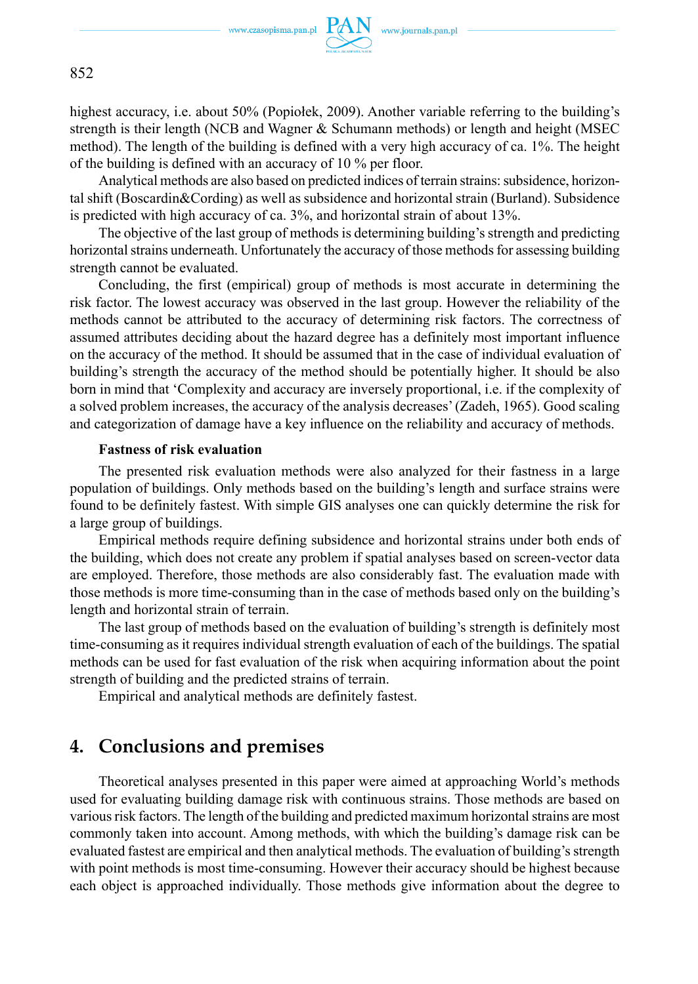

852

highest accuracy, i.e. about 50% (Popiołek, 2009). Another variable referring to the building's strength is their length (NCB and Wagner & Schumann methods) or length and height (MSEC method). The length of the building is defined with a very high accuracy of ca. 1%. The height of the building is defined with an accuracy of 10 % per floor.

Analytical methods are also based on predicted indices of terrain strains: subsidence, horizontal shift (Boscardin&Cording) as well as subsidence and horizontal strain (Burland). Subsidence is predicted with high accuracy of ca. 3%, and horizontal strain of about 13%.

The objective of the last group of methods is determining building's strength and predicting horizontal strains underneath. Unfortunately the accuracy of those methods for assessing building strength cannot be evaluated.

Concluding, the first (empirical) group of methods is most accurate in determining the risk factor. The lowest accuracy was observed in the last group. However the reliability of the methods cannot be attributed to the accuracy of determining risk factors. The correctness of assumed attributes deciding about the hazard degree has a definitely most important influence on the accuracy of the method. It should be assumed that in the case of individual evaluation of building's strength the accuracy of the method should be potentially higher. It should be also born in mind that 'Complexity and accuracy are inversely proportional, i.e. if the complexity of a solved problem increases, the accuracy of the analysis decreases' (Zadeh, 1965). Good scaling and categorization of damage have a key influence on the reliability and accuracy of methods.

#### **Fastness of risk evaluation**

The presented risk evaluation methods were also analyzed for their fastness in a large population of buildings. Only methods based on the building's length and surface strains were found to be definitely fastest. With simple GIS analyses one can quickly determine the risk for a large group of buildings.

Empirical methods require defining subsidence and horizontal strains under both ends of the building, which does not create any problem if spatial analyses based on screen-vector data are employed. Therefore, those methods are also considerably fast. The evaluation made with those methods is more time-consuming than in the case of methods based only on the building's length and horizontal strain of terrain.

The last group of methods based on the evaluation of building's strength is definitely most time-consuming as it requires individual strength evaluation of each of the buildings. The spatial methods can be used for fast evaluation of the risk when acquiring information about the point strength of building and the predicted strains of terrain.

Empirical and analytical methods are definitely fastest.

## **4. Conclusions and premises**

Theoretical analyses presented in this paper were aimed at approaching World's methods used for evaluating building damage risk with continuous strains. Those methods are based on various risk factors. The length of the building and predicted maximum horizontal strains are most commonly taken into account. Among methods, with which the building's damage risk can be evaluated fastest are empirical and then analytical methods. The evaluation of building's strength with point methods is most time-consuming. However their accuracy should be highest because each object is approached individually. Those methods give information about the degree to